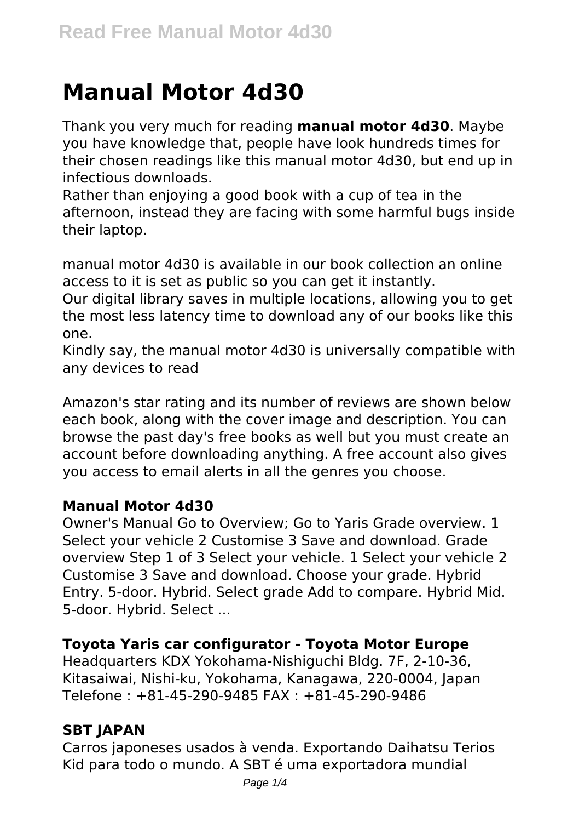# **Manual Motor 4d30**

Thank you very much for reading **manual motor 4d30**. Maybe you have knowledge that, people have look hundreds times for their chosen readings like this manual motor 4d30, but end up in infectious downloads.

Rather than enjoying a good book with a cup of tea in the afternoon, instead they are facing with some harmful bugs inside their laptop.

manual motor 4d30 is available in our book collection an online access to it is set as public so you can get it instantly.

Our digital library saves in multiple locations, allowing you to get the most less latency time to download any of our books like this one.

Kindly say, the manual motor 4d30 is universally compatible with any devices to read

Amazon's star rating and its number of reviews are shown below each book, along with the cover image and description. You can browse the past day's free books as well but you must create an account before downloading anything. A free account also gives you access to email alerts in all the genres you choose.

## **Manual Motor 4d30**

Owner's Manual Go to Overview; Go to Yaris Grade overview. 1 Select your vehicle 2 Customise 3 Save and download. Grade overview Step 1 of 3 Select your vehicle. 1 Select your vehicle 2 Customise 3 Save and download. Choose your grade. Hybrid Entry. 5-door. Hybrid. Select grade Add to compare. Hybrid Mid. 5-door. Hybrid. Select ...

## **Toyota Yaris car configurator - Toyota Motor Europe**

Headquarters KDX Yokohama-Nishiguchi Bldg. 7F, 2-10-36, Kitasaiwai, Nishi-ku, Yokohama, Kanagawa, 220-0004, Japan Telefone : +81-45-290-9485 FAX : +81-45-290-9486

# **SBT JAPAN**

Carros japoneses usados à venda. Exportando Daihatsu Terios Kid para todo o mundo. A SBT é uma exportadora mundial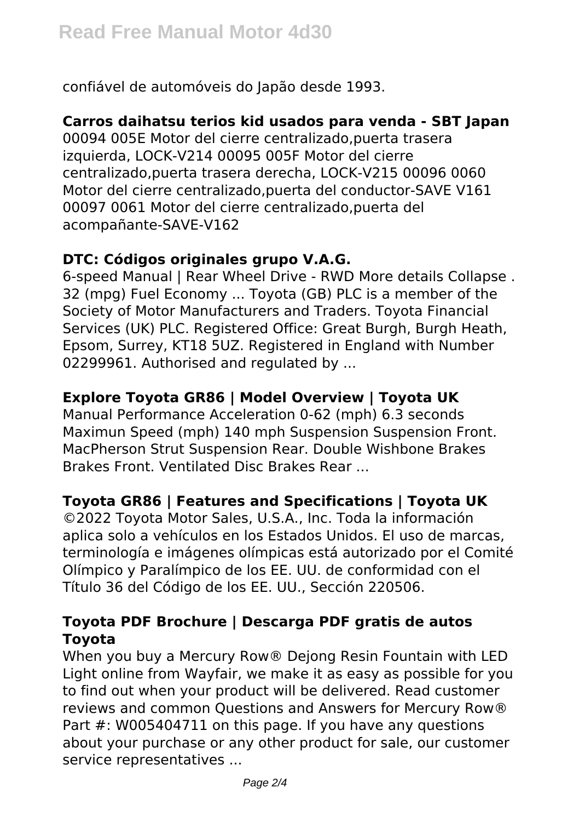confiável de automóveis do Japão desde 1993.

#### **Carros daihatsu terios kid usados para venda - SBT Japan**

00094 005E Motor del cierre centralizado,puerta trasera izquierda, LOCK-V214 00095 005F Motor del cierre centralizado,puerta trasera derecha, LOCK-V215 00096 0060 Motor del cierre centralizado,puerta del conductor-SAVE V161 00097 0061 Motor del cierre centralizado,puerta del acompañante-SAVE-V162

## **DTC: Códigos originales grupo V.A.G.**

6-speed Manual | Rear Wheel Drive - RWD More details Collapse . 32 (mpg) Fuel Economy ... Toyota (GB) PLC is a member of the Society of Motor Manufacturers and Traders. Toyota Financial Services (UK) PLC. Registered Office: Great Burgh, Burgh Heath, Epsom, Surrey, KT18 5UZ. Registered in England with Number 02299961. Authorised and regulated by ...

## **Explore Toyota GR86 | Model Overview | Toyota UK**

Manual Performance Acceleration 0-62 (mph) 6.3 seconds Maximun Speed (mph) 140 mph Suspension Suspension Front. MacPherson Strut Suspension Rear. Double Wishbone Brakes Brakes Front. Ventilated Disc Brakes Rear ...

## **Toyota GR86 | Features and Specifications | Toyota UK**

©2022 Toyota Motor Sales, U.S.A., Inc. Toda la información aplica solo a vehículos en los Estados Unidos. El uso de marcas, terminología e imágenes olímpicas está autorizado por el Comité Olímpico y Paralímpico de los EE. UU. de conformidad con el Título 36 del Código de los EE. UU., Sección 220506.

## **Toyota PDF Brochure | Descarga PDF gratis de autos Toyota**

When you buy a Mercury Row® Dejong Resin Fountain with LED Light online from Wayfair, we make it as easy as possible for you to find out when your product will be delivered. Read customer reviews and common Questions and Answers for Mercury Row® Part #: W005404711 on this page. If you have any questions about your purchase or any other product for sale, our customer service representatives ...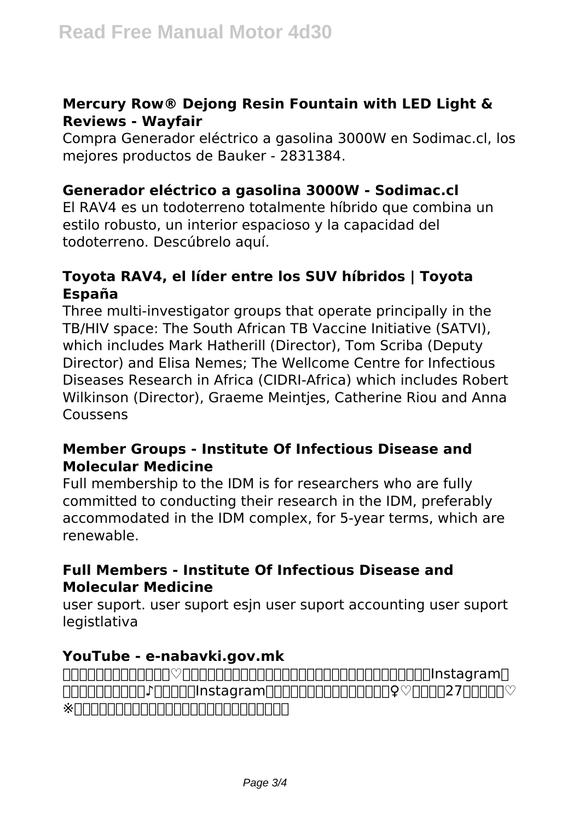#### **Mercury Row® Dejong Resin Fountain with LED Light & Reviews - Wayfair**

Compra Generador eléctrico a gasolina 3000W en Sodimac.cl, los mejores productos de Bauker - 2831384.

#### **Generador eléctrico a gasolina 3000W - Sodimac.cl**

El RAV4 es un todoterreno totalmente híbrido que combina un estilo robusto, un interior espacioso y la capacidad del todoterreno. Descúbrelo aquí.

#### **Toyota RAV4, el líder entre los SUV híbridos | Toyota España**

Three multi-investigator groups that operate principally in the TB/HIV space: The South African TB Vaccine Initiative (SATVI), which includes Mark Hatherill (Director), Tom Scriba (Deputy Director) and Elisa Nemes; The Wellcome Centre for Infectious Diseases Research in Africa (CIDRI-Africa) which includes Robert Wilkinson (Director), Graeme Meintjes, Catherine Riou and Anna Coussens

#### **Member Groups - Institute Of Infectious Disease and Molecular Medicine**

Full membership to the IDM is for researchers who are fully committed to conducting their research in the IDM, preferably accommodated in the IDM complex, for 5-year terms, which are renewable.

#### **Full Members - Institute Of Infectious Disease and Molecular Medicine**

user suport. user suport esjn user suport accounting user suport **legistlativa** 

#### **YouTube - e-nabavki.gov.mk**

 $\Box$ も更新予定の漫画です♪よかったらInstagramのフォローもお願い致します♀️♡それでは27話をどうぞ♡  $\ast$ nnnnnnnnnnnnnnnnnnnnnnnn